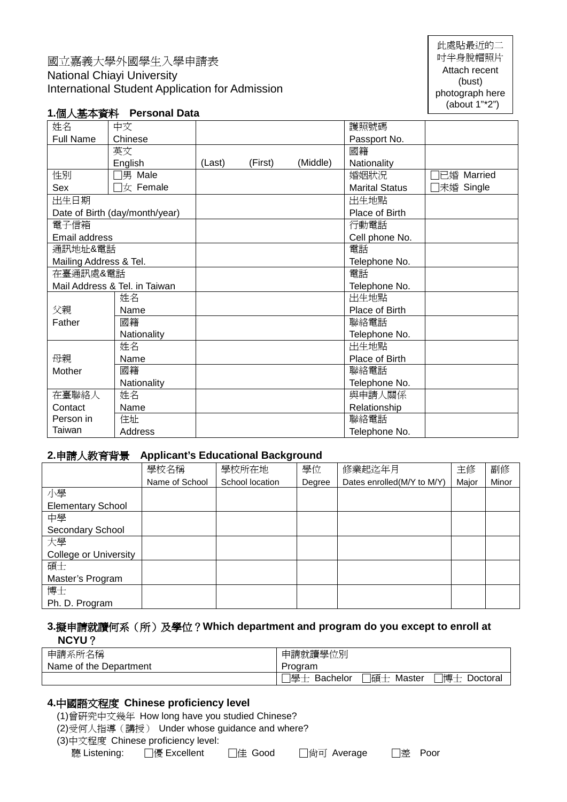## 國立嘉義大學外國學生入學申請表 National Chiayi University International Student Application for Admission

此處貼最近的二 吋半身脫帽照片 Attach recent (bust) photograph here (about 1"\*2")

### **1.**個人基本資料 **Personal Data**

| 姓名                             | 中文                                |        |         |          | 護照號碼                  |            |
|--------------------------------|-----------------------------------|--------|---------|----------|-----------------------|------------|
| <b>Full Name</b>               | Chinese                           |        |         |          | Passport No.          |            |
|                                | 英文                                |        |         |          | 國籍                    |            |
|                                | English                           | (Last) | (First) | (Middle) | Nationality           |            |
| 性別                             | □男 Male                           |        |         |          | 婚姻狀況                  | 已婚 Married |
| Sex                            | $\exists \text{ } \forall$ Female |        |         |          | <b>Marital Status</b> | □未婚 Single |
| 出生日期                           |                                   |        |         |          | 出生地點                  |            |
| Date of Birth (day/month/year) |                                   |        |         |          | Place of Birth        |            |
| 電子信箱                           |                                   |        |         |          | 行動電話                  |            |
| Email address                  |                                   |        |         |          | Cell phone No.        |            |
| 通訊地址&電話                        |                                   |        |         |          | 電話                    |            |
| Mailing Address & Tel.         |                                   |        |         |          | Telephone No.         |            |
| 在臺通訊處&電話                       |                                   |        |         |          | 電話                    |            |
| Mail Address & Tel. in Taiwan  |                                   |        |         |          | Telephone No.         |            |
|                                | 姓名                                |        |         |          | 出生地點                  |            |
| 父親                             | Name                              |        |         |          | Place of Birth        |            |
| Father                         | 國籍                                |        |         |          | 聯絡電話                  |            |
|                                | Nationality                       |        |         |          | Telephone No.         |            |
|                                | 姓名                                |        |         |          | 出生地點                  |            |
| 母親                             | Name                              |        |         |          | Place of Birth        |            |
| Mother                         | 國籍                                |        |         |          | 聯絡電話                  |            |
|                                | Nationality                       |        |         |          | Telephone No.         |            |
| 在臺聯絡人                          | 姓名                                |        |         |          | 與申請人關係                |            |
| Contact                        | Name                              |        |         |          | Relationship          |            |
| Person in                      | 住址                                |        |         |          | 聯絡電話                  |            |
| Taiwan                         | Address                           |        |         |          | Telephone No.         |            |

### **2.**申請人教育背景 **Applicant's Educational Background**

| <b>HIRA AAVITA IRAN</b>      |                |                 |        |                             |       |       |
|------------------------------|----------------|-----------------|--------|-----------------------------|-------|-------|
|                              | 學校名稱           | 學校所在地           | 學位     | 修業起迄年月                      | 主修    | 副修    |
|                              | Name of School | School location | Degree | Dates enrolled (M/Y to M/Y) | Major | Minor |
| 小學                           |                |                 |        |                             |       |       |
| <b>Elementary School</b>     |                |                 |        |                             |       |       |
| 中學                           |                |                 |        |                             |       |       |
| Secondary School             |                |                 |        |                             |       |       |
| 大學                           |                |                 |        |                             |       |       |
| <b>College or University</b> |                |                 |        |                             |       |       |
| 碩士                           |                |                 |        |                             |       |       |
| Master's Program             |                |                 |        |                             |       |       |
| 博士                           |                |                 |        |                             |       |       |
| Ph. D. Program               |                |                 |        |                             |       |       |

#### **3.**擬申請就讀何系(所)及學位?**Which department and program do you except to enroll at NCYU**?

| 申請系所名稱                 | 申請就讀學位別                                               |
|------------------------|-------------------------------------------------------|
| Name of the Department | Program                                               |
|                        | 博士  <br> 學十 <br>门碩士<br>Master<br>Doctoral<br>Bachelor |

#### **4.**中國語文程度 **Chinese proficiency level**

(1)曾研究中文幾年 How long have you studied Chinese?

(2)受何人指導(講授) Under whose guidance and where?

(3)中文程度 Chinese proficiency level:

聽 Listening: □優 Excellent □佳 Good □尚可 Average □差 Poor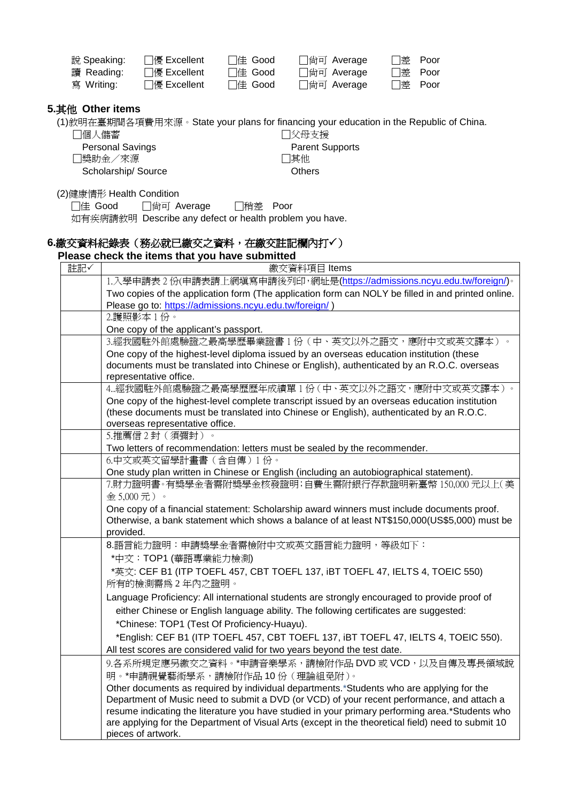| 說 Speaking: | ା∯ Excellent | 佳 Good | □ 尙可 Average |  |
|-------------|--------------|--------|--------------|--|
| 讀 Reading:  | ା優 Excellent | 佳 Good | 尙可 Average   |  |
| 寫 Writing:  | 優 Excellent  | 佳 Good | □ 尙可 Average |  |

#### **5.**其他 **Other items**

(1)敘明在臺期間各項費用來源。State your plans for financing your education in the Republic of China.

□個人儲蓄

 Personal Savings □獎助金/來源 Scholarship/ Source

#### (2)健康情形 Health Condition

□佳 Good □尚可 Average □稍差 Poor 如有疾病請敘明 Describe any defect or health problem you have.

# 6.繳交資料紀錄表(務必就已繳交之資料,在繳交註記欄內打√)

## **Please check the items that you have submitted**

| 註記✓ | 繳交資料項目 Items                                                                                                                                                                                          |
|-----|-------------------------------------------------------------------------------------------------------------------------------------------------------------------------------------------------------|
|     | 1.入學申請表2份(申請表請上網填寫申請後列印,網址是(https://admissions.ncyu.edu.tw/foreign/)。                                                                                                                                 |
|     | Two copies of the application form (The application form can NOLY be filled in and printed online.                                                                                                    |
|     | Please go to: https://admissions.ncyu.edu.tw/foreign/)                                                                                                                                                |
|     | 2.護照影本1份。                                                                                                                                                                                             |
|     | One copy of the applicant's passport.                                                                                                                                                                 |
|     | 3.經我國駐外館處驗證之最高學歷畢業證書1份(中、英文以外之語文,應附中文或英文譯本)                                                                                                                                                           |
|     | One copy of the highest-level diploma issued by an overseas education institution (these                                                                                                              |
|     | documents must be translated into Chinese or English), authenticated by an R.O.C. overseas                                                                                                            |
|     | representative office.                                                                                                                                                                                |
|     | 4經我國駐外館處驗證之最高學歷歷年成績單 1 份 ( 中、英文以外之語文,應附中文或英文譯本 ) 。                                                                                                                                                    |
|     | One copy of the highest-level complete transcript issued by an overseas education institution                                                                                                         |
|     | (these documents must be translated into Chinese or English), authenticated by an R.O.C.                                                                                                              |
|     | overseas representative office.<br>5.推薦信2封(須彌封)。                                                                                                                                                      |
|     |                                                                                                                                                                                                       |
|     | Two letters of recommendation: letters must be sealed by the recommender.<br>6.中文或英文留學計畫書(含自傳)1份。                                                                                                     |
|     | One study plan written in Chinese or English (including an autobiographical statement).                                                                                                               |
|     | 7.財力證明書。有獎學金者需附獎學金核發證明;自費生需附銀行存款證明新臺幣 150,000 元以上(美                                                                                                                                                   |
|     | 金5,000元)。                                                                                                                                                                                             |
|     | One copy of a financial statement: Scholarship award winners must include documents proof.                                                                                                            |
|     | Otherwise, a bank statement which shows a balance of at least NT\$150,000(US\$5,000) must be                                                                                                          |
|     | provided.                                                                                                                                                                                             |
|     | 8.語言能力證明:申請獎學金者需檢附中文或英文語言能力證明,等級如下:                                                                                                                                                                   |
|     | *中文: TOP1 (華語專業能力檢測)                                                                                                                                                                                  |
|     | *英文: CEF B1 (ITP TOEFL 457, CBT TOEFL 137, iBT TOEFL 47, IELTS 4, TOEIC 550)                                                                                                                          |
|     | 所有的檢測需爲2年內之證明。                                                                                                                                                                                        |
|     | Language Proficiency: All international students are strongly encouraged to provide proof of                                                                                                          |
|     | either Chinese or English language ability. The following certificates are suggested:                                                                                                                 |
|     |                                                                                                                                                                                                       |
|     | *Chinese: TOP1 (Test Of Proficiency-Huayu).                                                                                                                                                           |
|     | *English: CEF B1 (ITP TOEFL 457, CBT TOEFL 137, IBT TOEFL 47, IELTS 4, TOEIC 550).                                                                                                                    |
|     | All test scores are considered valid for two years beyond the test date.                                                                                                                              |
|     | 9.各系所規定應另繳交之資料。*申請音樂學系,請檢附作品 DVD 或 VCD,以及自傳及專長領域說                                                                                                                                                     |
|     | 明。*申請視覺藝術學系,請檢附作品10份(理論組免附)。                                                                                                                                                                          |
|     | Other documents as required by individual departments.*Students who are applying for the                                                                                                              |
|     | Department of Music need to submit a DVD (or VCD) of your recent performance, and attach a                                                                                                            |
|     | resume indicating the literature you have studied in your primary performing area.*Students who<br>are applying for the Department of Visual Arts (except in the theoretical field) need to submit 10 |
|     | pieces of artwork.                                                                                                                                                                                    |
|     |                                                                                                                                                                                                       |